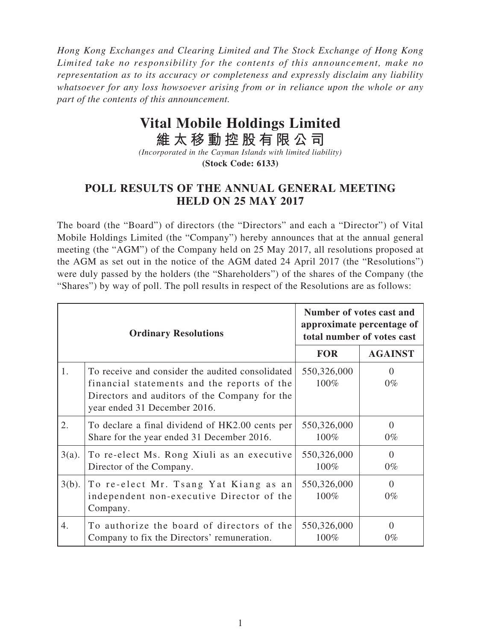*Hong Kong Exchanges and Clearing Limited and The Stock Exchange of Hong Kong Limited take no responsibility for the contents of this announcement, make no representation as to its accuracy or completeness and expressly disclaim any liability whatsoever for any loss howsoever arising from or in reliance upon the whole or any part of the contents of this announcement.*

## **Vital Mobile Holdings Limited**

**維太移動控股有限公司**

*(Incorporated in the Cayman Islands with limited liability)* **(Stock Code: 6133)**

## **POLL RESULTS OF THE ANNUAL GENERAL MEETING HELD ON 25 MAY 2017**

The board (the "Board") of directors (the "Directors" and each a "Director") of Vital Mobile Holdings Limited (the "Company") hereby announces that at the annual general meeting (the "AGM") of the Company held on 25 May 2017, all resolutions proposed at the AGM as set out in the notice of the AGM dated 24 April 2017 (the "Resolutions") were duly passed by the holders (the "Shareholders") of the shares of the Company (the "Shares") by way of poll. The poll results in respect of the Resolutions are as follows:

| <b>Ordinary Resolutions</b> |                                                                                                                                                                                  | Number of votes cast and<br>approximate percentage of<br>total number of votes cast |                   |
|-----------------------------|----------------------------------------------------------------------------------------------------------------------------------------------------------------------------------|-------------------------------------------------------------------------------------|-------------------|
|                             |                                                                                                                                                                                  | <b>FOR</b>                                                                          | <b>AGAINST</b>    |
| 1.                          | To receive and consider the audited consolidated<br>financial statements and the reports of the<br>Directors and auditors of the Company for the<br>year ended 31 December 2016. | 550,326,000<br>100%                                                                 | $\Omega$<br>$0\%$ |
| 2.                          | To declare a final dividend of HK2.00 cents per<br>Share for the year ended 31 December 2016.                                                                                    | 550,326,000<br>100%                                                                 | $\Omega$<br>$0\%$ |
| $3(a)$ .                    | To re-elect Ms. Rong Xiuli as an executive<br>Director of the Company.                                                                                                           | 550,326,000<br>100%                                                                 | $\Omega$<br>$0\%$ |
| $3(b)$ .                    | To re-elect Mr. Tsang Yat Kiang as an<br>independent non-executive Director of the<br>Company.                                                                                   | 550,326,000<br>100%                                                                 | $\Omega$<br>$0\%$ |
| 4.                          | To authorize the board of directors of the<br>Company to fix the Directors' remuneration.                                                                                        | 550,326,000<br>100%                                                                 | ∩<br>$0\%$        |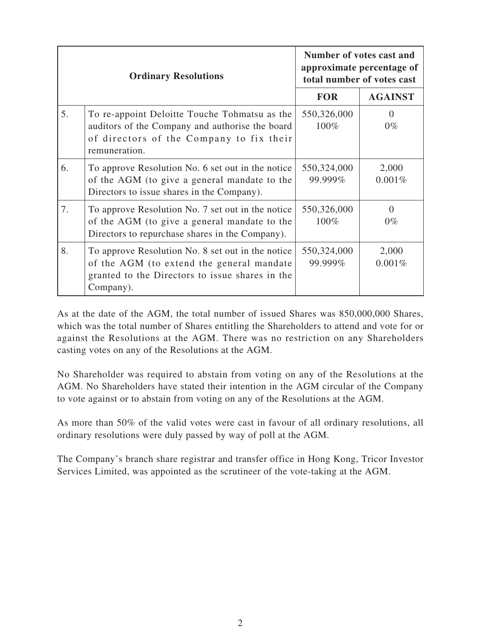|    | <b>Ordinary Resolutions</b>                                                                                                                                    | Number of votes cast and<br>approximate percentage of<br>total number of votes cast |                   |
|----|----------------------------------------------------------------------------------------------------------------------------------------------------------------|-------------------------------------------------------------------------------------|-------------------|
|    |                                                                                                                                                                | <b>FOR</b>                                                                          | <b>AGAINST</b>    |
| 5. | To re-appoint Deloitte Touche Tohmatsu as the<br>auditors of the Company and authorise the board<br>of directors of the Company to fix their<br>remuneration.  | 550,326,000<br>100%                                                                 | $\Omega$<br>$0\%$ |
| 6. | To approve Resolution No. 6 set out in the notice<br>of the AGM (to give a general mandate to the<br>Directors to issue shares in the Company).                | 550,324,000<br>99.999%                                                              | 2,000<br>0.001%   |
| 7. | To approve Resolution No. 7 set out in the notice<br>of the AGM (to give a general mandate to the<br>Directors to repurchase shares in the Company).           | 550,326,000<br>100%                                                                 | $\Omega$<br>$0\%$ |
| 8. | To approve Resolution No. 8 set out in the notice<br>of the AGM (to extend the general mandate<br>granted to the Directors to issue shares in the<br>Company). | 550,324,000<br>99.999%                                                              | 2,000<br>0.001%   |

As at the date of the AGM, the total number of issued Shares was 850,000,000 Shares, which was the total number of Shares entitling the Shareholders to attend and vote for or against the Resolutions at the AGM. There was no restriction on any Shareholders casting votes on any of the Resolutions at the AGM.

No Shareholder was required to abstain from voting on any of the Resolutions at the AGM. No Shareholders have stated their intention in the AGM circular of the Company to vote against or to abstain from voting on any of the Resolutions at the AGM.

As more than 50% of the valid votes were cast in favour of all ordinary resolutions, all ordinary resolutions were duly passed by way of poll at the AGM.

The Company's branch share registrar and transfer office in Hong Kong, Tricor Investor Services Limited, was appointed as the scrutineer of the vote-taking at the AGM.